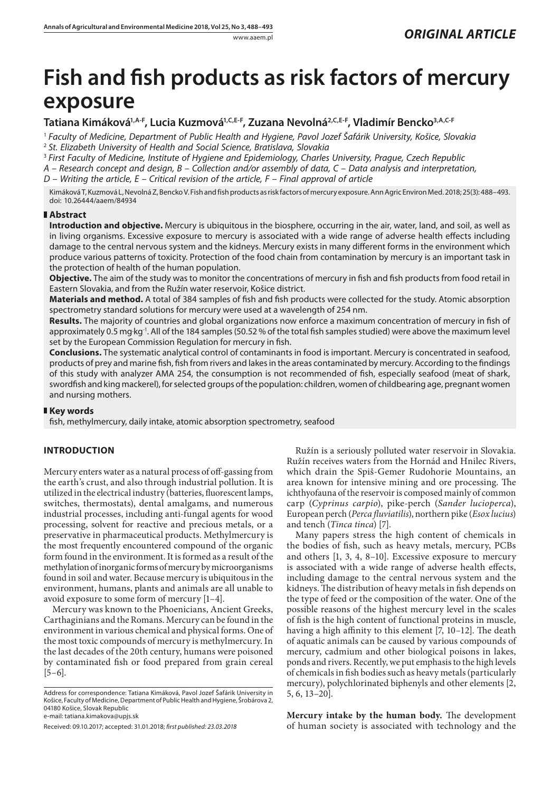# **Fish and fish products as risk factors of mercury exposure**

Tatiana Kimáková<sup>1,A-F</sup>, Lucia Kuzmová<sup>1,C,E-F</sup>, Zuzana Nevolná<sup>2,C,E-F</sup>, Vladimír Bencko<sup>3,A,C-F</sup>

<sup>1</sup> *Faculty of Medicine, Department of Public Health and Hygiene, Pavol Jozef Šafárik University, Košice, Slovakia* <sup>2</sup> *St. Elizabeth University of Health and Social Science, Bratislava, Slovakia*

<sup>3</sup> *First Faculty of Medicine, Institute of Hygiene and Epidemiology, Charles University, Prague, Czech Republic*

*A – Research concept and design, B – Collection and/or assembly of data, C – Data analysis and interpretation,* 

*D – Writing the article, E – Critical revision of the article, F – Final approval of article*

Kimáková T, Kuzmová L, Nevolná Z, Bencko V. Fish and fish products as risk factors of mercury exposure. Ann Agric Environ Med. 2018; 25(3): 488–493. doi: 10.26444/aaem/84934

# **Abstract**

**Introduction and objective.** Mercury is ubiquitous in the biosphere, occurring in the air, water, land, and soil, as well as in living organisms. Excessive exposure to mercury is associated with a wide range of adverse health effects including damage to the central nervous system and the kidneys. Mercury exists in many different forms in the environment which produce various patterns of toxicity. Protection of the food chain from contamination by mercury is an important task in the protection of health of the human population.

**Objective.** The aim of the study was to monitor the concentrations of mercury in fish and fish products from food retail in Eastern Slovakia, and from the Ružín water reservoir, Košice district.

**Materials and method.** A total of 384 samples of fish and fish products were collected for the study. Atomic absorption spectrometry standard solutions for mercury were used at a wavelength of 254 nm.

**Results.** The majority of countries and global organizations now enforce a maximum concentration of mercury in fish of approximately 0.5 mg·kg<sup>-1</sup>. All of the 184 samples (50.52 % of the total fish samples studied) were above the maximum level set by the European Commission Regulation for mercury in fish.

**Conclusions.** The systematic analytical control of contaminants in food is important. Mercury is concentrated in seafood, products of prey and marine fish, fish from rivers and lakes in the areas contaminated by mercury. According to the findings of this study with analyzer AMA 254, the consumption is not recommended of fish, especially seafood (meat of shark, swordfish and king mackerel), for selected groups of the population: children, women of childbearing age, pregnant women and nursing mothers.

# **Key words**

fish, methylmercury, daily intake, atomic absorption spectrometry, seafood

# **INTRODUCTION**

Mercury enters water as a natural process of off-gassing from the earth's crust, and also through industrial pollution. It is utilized in the electrical industry (batteries, fluorescent lamps, switches, thermostats), dental amalgams, and numerous industrial processes, including anti-fungal agents for wood processing, solvent for reactive and precious metals, or a preservative in pharmaceutical products. Methylmercury is the most frequently encountered compound of the organic form found in the environment. It is formed as a result of the methylation of inorganic forms of mercury by microorganisms found in soil and water. Because mercury is ubiquitous in the environment, humans, plants and animals are all unable to avoid exposure to some form of mercury [1–4].

Mercury was known to the Phoenicians, Ancient Greeks, Carthaginians and the Romans. Mercury can be found in the environment in various chemical and physical forms. One of the most toxic compounds of mercury is methylmercury. In the last decades of the 20th century, humans were poisoned by contaminated fish or food prepared from grain cereal  $[5-6]$ .

Address for correspondence: Tatiana Kimáková, Pavol Jozef Šafárik University in Košice, Faculty of Medicine, Department of Public Health and Hygiene, Šrobárova 2, 04180 Košice, Slovak Republic e-mail: tatiana.kimakova@upjs.sk

Received: 09.10.2017; accepted: 31.01.2018; *first published: 23.03.2018*

Ružín is a seriously polluted water reservoir in Slovakia. Ružín receives waters from the Hornád and Hnilec Rivers, which drain the Spiš-Gemer Rudohorie Mountains, an area known for intensive mining and ore processing. The ichthyofauna of the reservoir is composed mainly of common carp (*Cyprinus carpio*), pike-perch (*Sander lucioperca*), European perch (*Perca fluviatilis*), northern pike (*Esox lucius*) and tench (*Tinca tinca*) [7].

Many papers stress the high content of chemicals in the bodies of fish, such as heavy metals, mercury, PCBs and others [1, 3, 4, 8–10]. Excessive exposure to mercury is associated with a wide range of adverse health effects, including damage to the central nervous system and the kidneys. The distribution of heavy metals in fish depends on the type of feed or the composition of the water. One of the possible reasons of the highest mercury level in the scales of fish is the high content of functional proteins in muscle, having a high affinity to this element [7, 10-12]. The death of aquatic animals can be caused by various compounds of mercury, cadmium and other biological poisons in lakes, ponds and rivers. Recently, we put emphasis to the high levels of chemicals in fish bodies such as heavy metals (particularly mercury), polychlorinated biphenyls and other elements [2, 5, 6, 13–20].

**Mercury intake by the human body.** The development of human society is associated with technology and the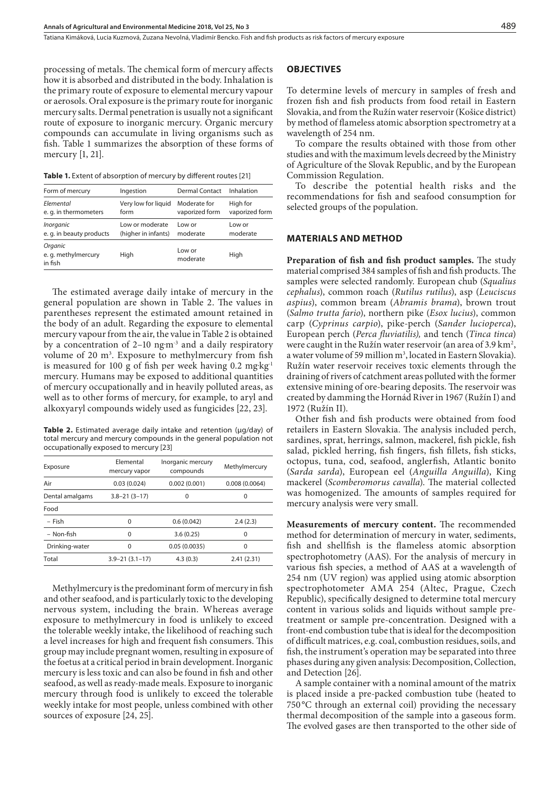processing of metals. The chemical form of mercury affects how it is absorbed and distributed in the body. Inhalation is the primary route of exposure to elemental mercury vapour or aerosols. Oral exposure is the primary route for inorganic mercury salts. Dermal penetration is usually not a significant route of exposure to inorganic mercury. Organic mercury compounds can accumulate in living organisms such as fish. Table 1 summarizes the absorption of these forms of mercury [1, 21].

**Table 1.** Extent of absorption of mercury by different routes [21]

| Form of mercury                              | Ingestion                              | Dermal Contact                 | Inhalation                 |
|----------------------------------------------|----------------------------------------|--------------------------------|----------------------------|
| Elemental<br>e. q. in thermometers           | Very low for liquid<br>form            | Moderate for<br>vaporized form | High for<br>vaporized form |
| <i>Inorganic</i><br>e. q. in beauty products | Low or moderate<br>(higher in infants) | Low or<br>moderate             | Low or<br>moderate         |
| Organic<br>e. q. methylmercury<br>in fish    | High                                   | Low or<br>moderate             | High                       |

The estimated average daily intake of mercury in the general population are shown in Table 2. The values in parentheses represent the estimated amount retained in the body of an adult. Regarding the exposure to elemental mercury vapour from the air, the value in Table 2 is obtained by a concentration of  $2-10$  ng $m<sup>3</sup>$  and a daily respiratory volume of 20 m<sup>3</sup>. Exposure to methylmercury from fish is measured for 100 g of fish per week having 0.2 mg $kg<sup>-1</sup>$ mercury. Humans may be exposed to additional quantities of mercury occupationally and in heavily polluted areas, as well as to other forms of mercury, for example, to aryl and alkoxyaryl compounds widely used as fungicides [22, 23].

Table 2. Estimated average daily intake and retention (µg/day) of total mercury and mercury compounds in the general population not occupationally exposed to mercury [23]

| Exposure        | Elemental<br>mercury vapor | Inorganic mercury<br>compounds | Methylmercury |
|-----------------|----------------------------|--------------------------------|---------------|
| Air             | 0.03(0.024)                | 0.002(0.001)                   | 0.008(0.0064) |
| Dental amalgams | $3.8 - 21(3 - 17)$         | 0                              | 0             |
| Food            |                            |                                |               |
| - Fish          | 0                          | 0.6(0.042)                     | 2.4(2.3)      |
| - Non-fish      | 0                          | 3.6(0.25)                      | 0             |
| Drinking-water  | 0                          | 0.05(0.0035)                   | 0             |
| Total           | $3.9 - 21(3.1 - 17)$       | 4.3(0.3)                       | 2.41(2.31)    |

Methylmercury is the predominant form of mercury in fish and other seafood, and is particularly toxic to the developing nervous system, including the brain. Whereas average exposure to methylmercury in food is unlikely to exceed the tolerable weekly intake, the likelihood of reaching such a level increases for high and frequent fish consumers. This group may include pregnant women, resulting in exposure of the foetus at a critical period in brain development. Inorganic mercury is less toxic and can also be found in fish and other seafood, as well as ready-made meals. Exposure to inorganic mercury through food is unlikely to exceed the tolerable weekly intake for most people, unless combined with other sources of exposure [24, 25].

# **OBJECTIVES**

To determine levels of mercury in samples of fresh and frozen fish and fish products from food retail in Eastern Slovakia, and from the Ružín water reservoir (Košice district) by method of flameless atomic absorption spectrometry at a wavelength of 254 nm.

To compare the results obtained with those from other studies and with the maximum levels decreed by the Ministry of Agriculture of the Slovak Republic, and by the European Commission Regulation.

To describe the potential health risks and the recommendations for fish and seafood consumption for selected groups of the population.

#### **MATERIALS AND METHOD**

**Preparation of fish and fish product samples.** The study material comprised 384 samples of fish and fish products. The samples were selected randomly. European chub (*Squalius cephalus*), common roach (*Rutilus rutilus*), asp (*Leuciscus aspius*), common bream (*Abramis brama*), brown trout (*Salmo trutta fario*), northern pike (*Esox lucius*), common carp (*Cyprinus carpio*), pike-perch (*Sander lucioperca*), European perch (*Perca fluviatilis),* and tench (*Tinca tinca*) were caught in the Ružín water reservoir (an area of  $3.9 \text{ km}^2$ , a water volume of 59 million  $m^3$ , located in Eastern Slovakia). Ružín water reservoir receives toxic elements through the draining of rivers of catchment areas polluted with the former extensive mining of ore-bearing deposits. The reservoir was created by damming the Hornád River in 1967 (Ružín I) and 1972 (Ružín II).

Other fish and fish products were obtained from food retailers in Eastern Slovakia. The analysis included perch, sardines, sprat, herrings, salmon, mackerel, fish pickle, fish salad, pickled herring, fish fingers, fish fillets, fish sticks, octopus, tuna, cod, seafood, anglerfish, Atlantic bonito (*Sarda sarda*), European eel (*Anguilla Anguilla*), King mackerel (*Scomberomorus cavalla*). The material collected was homogenized. The amounts of samples required for mercury analysis were very small.

**Measurements of mercury content.** The recommended method for determination of mercury in water, sediments, fish and shellfish is the flameless atomic absorption spectrophotometry (AAS). For the analysis of mercury in various fish species, a method of AAS at a wavelength of 254 nm (UV region) was applied using atomic absorption spectrophotometer AMA 254 (Altec, Prague, Czech Republic), specifically designed to determine total mercury content in various solids and liquids without sample pretreatment or sample pre-concentration. Designed with a front-end combustion tube that is ideal for the decomposition of difficult matrices, e.g. coal, combustion residues, soils, and fish, the instrument's operation may be separated into three phases during any given analysis: Decomposition, Collection, and Detection [26].

A sample container with a nominal amount of the matrix is placed inside a pre-packed combustion tube (heated to 750 °C through an external coil) providing the necessary thermal decomposition of the sample into a gaseous form. The evolved gases are then transported to the other side of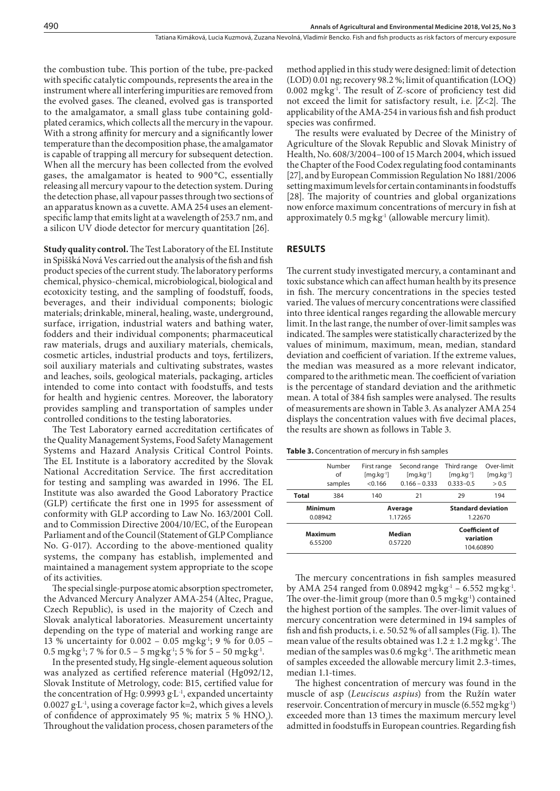the combustion tube. This portion of the tube, pre-packed with specific catalytic compounds, represents the area in the instrument where all interfering impurities are removed from the evolved gases. The cleaned, evolved gas is transported to the amalgamator, a small glass tube containing goldplated ceramics, which collects all the mercury in the vapour. With a strong affinity for mercury and a significantly lower temperature than the decomposition phase, the amalgamator is capable of trapping all mercury for subsequent detection. When all the mercury has been collected from the evolved gases, the amalgamator is heated to 900 °C, essentially releasing all mercury vapour to the detection system. During the detection phase, all vapour passes through two sections of an apparatus known as a cuvette. AMA 254 uses an elementspecific lamp that emits light at a wavelength of 253.7 nm, and a silicon UV diode detector for mercury quantitation [26].

**Study quality control.**The Test Laboratory of the EL Institute in Spiššká Nová Ves carried out the analysis of the fish and fish product species of the current study. The laboratory performs chemical, physico-chemical, microbiological, biological and ecotoxicity testing, and the sampling of foodstuff, foods, beverages, and their individual components; biologic materials; drinkable, mineral, healing, waste, underground, surface, irrigation, industrial waters and bathing water, fodders and their individual components; pharmaceutical raw materials, drugs and auxiliary materials, chemicals, cosmetic articles, industrial products and toys, fertilizers, soil auxiliary materials and cultivating substrates, wastes and leaches, soils, geological materials, packaging, articles intended to come into contact with foodstuffs, and tests for health and hygienic centres. Moreover, the laboratory provides sampling and transportation of samples under controlled conditions to the testing laboratories.

The Test Laboratory earned accreditation certificates of the Quality Management Systems, Food Safety Management Systems and Hazard Analysis Critical Control Points. The EL Institute is a laboratory accredited by the Slovak National Accreditation Service. The first accreditation for testing and sampling was awarded in 1996. The EL Institute was also awarded the Good Laboratory Practice (GLP) certificate the first one in 1995 for assessment of conformity with GLP according to Law No. 163/2001 Coll. and to Commission Directive 2004/10/EC, of the European Parliament and of the Council (Statement of GLP Compliance No. G-017). According to the above-mentioned quality systems, the company has establish, implemented and maintained a management system appropriate to the scope of its activities.

The special single-purpose atomic absorption spectrometer, the Advanced Mercury Analyzer AMA-254 (Altec, Prague, Czech Republic), is used in the majority of Czech and Slovak analytical laboratories. Measurement uncertainty depending on the type of material and working range are 13 % uncertainty for 0.002 – 0.05 mg·kg<sup>-1</sup>; 9 % for 0.05 – 0.5 mg·kg<sup>-1</sup>; 7 % for 0.5 – 5 mg·kg<sup>-1</sup>; 5 % for 5 – 50 mg·kg<sup>-1</sup>.

In the presented study, Hg single-element aqueous solution was analyzed as certified reference material (Hg092/12, Slovak Institute of Metrology, code: B15, certified value for the concentration of Hg: 0.9993 g $L<sup>1</sup>$ , expanded uncertainty 0.0027  $gL<sup>-1</sup>$ , using a coverage factor k=2, which gives a levels of confidence of approximately 95 %; matrix 5 %  $HNO<sub>3</sub>$ ). Throughout the validation process, chosen parameters of the method applied in this study were designed: limit of detection (LOD) 0.01 ng; recovery 98.2 %; limit of quantification (LOQ) 0.002 mg $kg<sup>1</sup>$ . The result of Z-score of proficiency test did not exceed the limit for satisfactory result, i.e. |Z<2|. The applicability of the AMA-254 in various fish and fish product species was confirmed.

The results were evaluated by Decree of the Ministry of Agriculture of the Slovak Republic and Slovak Ministry of Health, No. 608/3/2004–100 of 15 March 2004, which issued the Chapter of the Food Codex regulating food contaminants [27], and by European Commission Regulation No 1881/2006 setting maximum levels for certain contaminants in foodstuffs [28]. The majority of countries and global organizations now enforce maximum concentrations of mercury in fish at approximately  $0.5 \text{ mg} \text{ kg}^{-1}$  (allowable mercury limit).

# **RESULTS**

The current study investigated mercury, a contaminant and toxic substance which can affect human health by its presence in fish. The mercury concentrations in the species tested varied. The values of mercury concentrations were classified into three identical ranges regarding the allowable mercury limit. In the last range, the number of over-limit samples was indicated. The samples were statistically characterized by the values of minimum, maximum, mean, median, standard deviation and coefficient of variation. If the extreme values, the median was measured as a more relevant indicator, compared to the arithmetic mean. The coefficient of variation is the percentage of standard deviation and the arithmetic mean. A total of 384 fish samples were analysed. The results of measurements are shown in Table 3. As analyzer AMA 254 displays the concentration values with five decimal places, the results are shown as follows in Table 3.

**Table 3.** Concentration of mercury in fish samples

| Number<br>of             | First range<br>$[mq.kq^{-1}]$ | Second range                                    | Third range                          | Over-limit              |
|--------------------------|-------------------------------|-------------------------------------------------|--------------------------------------|-------------------------|
| samples                  | < 0.166                       | $[mq.kq^{-1}]$<br>$0.166 - 0.333$               | $[mq.kq^{-1}]$<br>$0.333 - 0.5$      | $[mq.kq^{-1}]$<br>> 0.5 |
| 384                      | 140                           | 21                                              | 29                                   | 194                     |
| Minimum<br>0.08942       |                               |                                                 | <b>Standard deviation</b><br>1.22670 |                         |
| <b>Median</b><br>0.57220 |                               | <b>Coefficient of</b><br>variation<br>104.60890 |                                      |                         |
|                          | Maximum<br>6.55200            |                                                 | Average<br>1.17265                   |                         |

The mercury concentrations in fish samples measured by AMA 254 ranged from 0.08942 mg·kg<sup>-1</sup> – 6.552 mg·kg<sup>-1</sup>. The over-the-limit group (more than 0.5 mg kg<sup>1</sup>) contained the highest portion of the samples. The over-limit values of mercury concentration were determined in 194 samples of fish and fish products, i. e. 50.52 % of all samples (Fig. 1). The mean value of the results obtained was  $1.2 \pm 1.2$  mg $\text{kg}^{-1}$ . The median of the samples was 0.6 mg·kg<sup>-1</sup>. The arithmetic mean of samples exceeded the allowable mercury limit 2.3-times, median 1.1-times.

The highest concentration of mercury was found in the muscle of asp (*Leuciscus aspius*) from the Ružín water reservoir. Concentration of mercury in muscle (6.552 mg·kg<sup>-1</sup>) exceeded more than 13 times the maximum mercury level admitted in foodstuffs in European countries. Regarding fish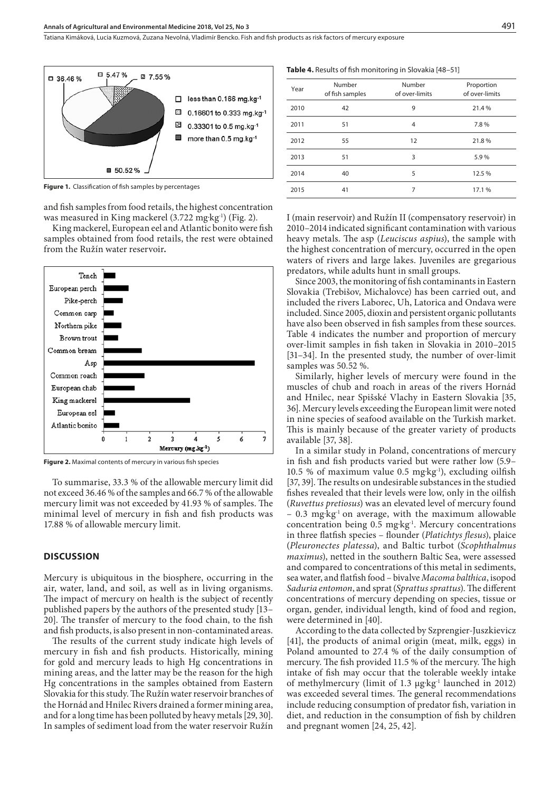Tatiana Kimáková, Lucia Kuzmová, Zuzana Nevolná, Vladimír Bencko . Fish and fish products as risk factors of mercury exposure



**Figure 1.** Classification of fish samples by percentages

and fish samples from food retails, the highest concentration was measured in King mackerel  $(3.722 \text{ mg} \cdot \text{kg}^{-1})$  (Fig. 2).

King mackerel, European eel and Atlantic bonito were fish samples obtained from food retails, the rest were obtained from the Ružín water reservoir**.**



**Figure 2.** Maximal contents of mercury in various fish species

To summarise, 33.3 % of the allowable mercury limit did not exceed 36.46 % of the samples and 66.7 % of the allowable mercury limit was not exceeded by 41.93 % of samples. The minimal level of mercury in fish and fish products was 17.88 % of allowable mercury limit.

#### **DISCUSSION**

Mercury is ubiquitous in the biosphere, occurring in the air, water, land, and soil, as well as in living organisms. The impact of mercury on health is the subject of recently published papers by the authors of the presented study [13– 20]. The transfer of mercury to the food chain, to the fish and fish products, is also present in non-contaminated areas.

The results of the current study indicate high levels of mercury in fish and fish products. Historically, mining for gold and mercury leads to high Hg concentrations in mining areas, and the latter may be the reason for the high Hg concentrations in the samples obtained from Eastern Slovakia for this study. The Ružín water reservoir branches of the Hornád and Hnilec Rivers drained a former mining area, and for a long time has been polluted by heavy metals [29, 30]. In samples of sediment load from the water reservoir Ružín

#### **Table 4.** Results of fish monitoring in Slovakia [48–51]

| Year | Number<br>of fish samples | Number<br>of over-limits | Proportion<br>of over-limits |
|------|---------------------------|--------------------------|------------------------------|
| 2010 | 42                        | 9                        | 21.4%                        |
| 2011 | 51                        | $\overline{4}$           | 7.8%                         |
| 2012 | 55                        | 12                       | 21.8%                        |
| 2013 | 51                        | 3                        | 5.9%                         |
| 2014 | 40                        | 5                        | 12.5 %                       |
| 2015 | 41                        | 7                        | 17.1%                        |

I (main reservoir) and Ružín II (compensatory reservoir) in 2010–2014 indicated significant contamination with various heavy metals. The asp (*Leuciscus aspius*), the sample with the highest concentration of mercury, occurred in the open waters of rivers and large lakes. Juveniles are gregarious predators, while adults hunt in small groups.

Since 2003, the monitoring of fish contaminants in Eastern Slovakia (Trebišov, Michalovce) has been carried out, and included the rivers Laborec, Uh, Latorica and Ondava were included. Since 2005, dioxin and persistent organic pollutants have also been observed in fish samples from these sources. Table 4 indicates the number and proportion of mercury over-limit samples in fish taken in Slovakia in 2010–2015 [31–34]. In the presented study, the number of over-limit samples was 50.52 %.

Similarly, higher levels of mercury were found in the muscles of chub and roach in areas of the rivers Hornád and Hnilec, near Spišské Vlachy in Eastern Slovakia [35, 36]. Mercury levels exceeding the European limit were noted in nine species of seafood available on the Turkish market. This is mainly because of the greater variety of products available [37, 38].

In a similar study in Poland, concentrations of mercury in fish and fish products varied but were rather low (5.9– 10.5 % of maximum value 0.5  $mg \, kg^{-1}$ ), excluding oilfish [37, 39]. The results on undesirable substances in the studied fishes revealed that their levels were low, only in the oilfish (*Ruvettus pretiosus*) was an elevated level of mercury found  $0.3 \text{ mg} \cdot \text{kg}^{-1}$  on average, with the maximum allowable concentration being 0.5 mg.kg-1. Mercury concentrations in three flatfish species – flounder (*Platichtys flesus*), plaice (*Pleuronectes platessa*), and Baltic turbot (*Scophthalmus maximus*), netted in the southern Baltic Sea, were assessed and compared to concentrations of this metal in sediments, sea water, and flatfish food – bivalve *Macoma balthica*, isopod *Saduria entomon*, and sprat (*Sprattus sprattus*). The different concentrations of mercury depending on species, tissue or organ, gender, individual length, kind of food and region, were determined in [40].

According to the data collected by Szprengier-Juszkievicz [41], the products of animal origin (meat, milk, eggs) in Poland amounted to 27.4 % of the daily consumption of mercury. The fish provided 11.5 % of the mercury. The high intake of fish may occur that the tolerable weekly intake of methylmercury (limit of 1.3 μg·kg<sup>-1</sup> launched in 2012) was exceeded several times. The general recommendations include reducing consumption of predator fish, variation in diet, and reduction in the consumption of fish by children and pregnant women [24, 25, 42].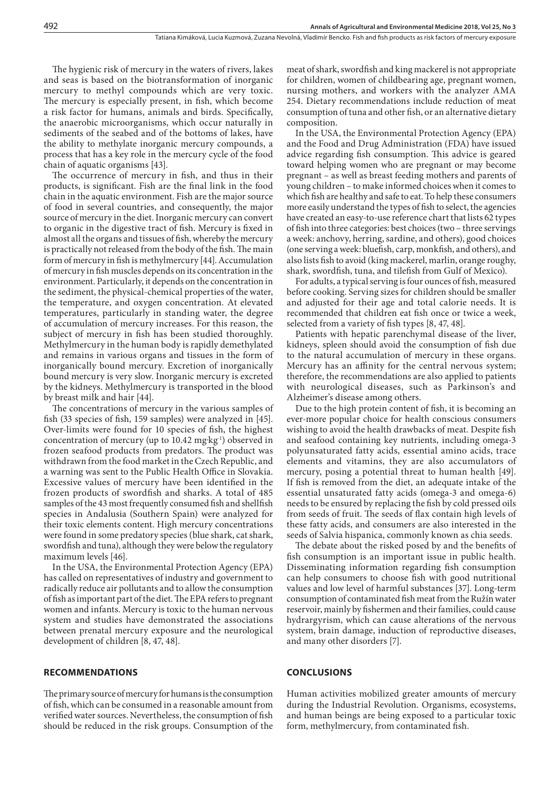The hygienic risk of mercury in the waters of rivers, lakes and seas is based on the biotransformation of inorganic mercury to methyl compounds which are very toxic. The mercury is especially present, in fish, which become a risk factor for humans, animals and birds. Specifically, the anaerobic microorganisms, which occur naturally in sediments of the seabed and of the bottoms of lakes, have the ability to methylate inorganic mercury compounds, a process that has a key role in the mercury cycle of the food chain of aquatic organisms [43].

The occurrence of mercury in fish, and thus in their products, is significant. Fish are the final link in the food chain in the aquatic environment. Fish are the major source of food in several countries, and consequently, the major source of mercury in the diet. Inorganic mercury can convert to organic in the digestive tract of fish. Mercury is fixed in almost all the organs and tissues of fish, whereby the mercury is practically not released from the body of the fish. The main form of mercury in fish is methylmercury [44]. Accumulation of mercury in fish muscles depends on its concentration in the environment. Particularly, it depends on the concentration in the sediment, the physical-chemical properties of the water, the temperature, and oxygen concentration. At elevated temperatures, particularly in standing water, the degree of accumulation of mercury increases. For this reason, the subject of mercury in fish has been studied thoroughly. Methylmercury in the human body is rapidly demethylated and remains in various organs and tissues in the form of inorganically bound mercury. Excretion of inorganically bound mercury is very slow. Inorganic mercury is excreted by the kidneys. Methylmercury is transported in the blood by breast milk and hair [44].

The concentrations of mercury in the various samples of fish (33 species of fish, 159 samples) were analyzed in [45]. Over-limits were found for 10 species of fish, the highest concentration of mercury (up to  $10.42 \text{ mg} \cdot \text{kg}^{-1}$ ) observed in frozen seafood products from predators. The product was withdrawn from the food market in the Czech Republic, and a warning was sent to the Public Health Office in Slovakia. Excessive values of mercury have been identified in the frozen products of swordfish and sharks. A total of 485 samples of the 43 most frequently consumed fish and shellfish species in Andalusia (Southern Spain) were analyzed for their toxic elements content. High mercury concentrations were found in some predatory species (blue shark, cat shark, swordfish and tuna), although they were below the regulatory maximum levels [46].

In the USA, the Environmental Protection Agency (EPA) has called on representatives of industry and government to radically reduce air pollutants and to allow the consumption of fish as important part of the diet. The EPA refers to pregnant women and infants. Mercury is toxic to the human nervous system and studies have demonstrated the associations between prenatal mercury exposure and the neurological development of children [8, 47, 48].

# **RECOMMENDATIONS**

The primary source of mercury for humans is the consumption of fish, which can be consumed in a reasonable amount from verified water sources. Nevertheless, the consumption of fish should be reduced in the risk groups. Consumption of the

meat of shark, swordfish and king mackerel is not appropriate for children, women of childbearing age, pregnant women, nursing mothers, and workers with the analyzer AMA 254. Dietary recommendations include reduction of meat consumption of tuna and other fish, or an alternative dietary composition.

In the USA, the Environmental Protection Agency (EPA) and the Food and Drug Administration (FDA) have issued advice regarding fish consumption. This advice is geared toward helping women who are pregnant or may become pregnant – as well as breast feeding mothers and parents of young children – to make informed choices when it comes to which fish are healthy and safe to eat. To help these consumers more easily understand the types of fish to select, the agencies have created an easy-to-use reference chart that lists 62 types of fish into three categories: best choices (two – three servings a week: anchovy, herring, sardine, and others), good choices (one serving a week: bluefish, carp, monkfish, and others), and also lists fish to avoid (king mackerel, marlin, orange roughy, shark, swordfish, tuna, and tilefish from Gulf of Mexico).

For adults, a typical serving is four ounces of fish, measured before cooking. Serving sizes for children should be smaller and adjusted for their age and total calorie needs. It is recommended that children eat fish once or twice a week, selected from a variety of fish types [8, 47, 48].

Patients with hepatic parenchymal disease of the liver, kidneys, spleen should avoid the consumption of fish due to the natural accumulation of mercury in these organs. Mercury has an affinity for the central nervous system; therefore, the recommendations are also applied to patients with neurological diseases, such as Parkinson's and Alzheimer's disease among others.

Due to the high protein content of fish, it is becoming an ever-more popular choice for health conscious consumers wishing to avoid the health drawbacks of meat. Despite fish and seafood containing key nutrients, including omega-3 polyunsaturated fatty acids, essential amino acids, trace elements and vitamins, they are also accumulators of mercury, posing a potential threat to human health [49]. If fish is removed from the diet, an adequate intake of the essential unsaturated fatty acids (omega-3 and omega-6) needs to be ensured by replacing the fish by cold pressed oils from seeds of fruit. The seeds of flax contain high levels of these fatty acids, and consumers are also interested in the seeds of Salvia hispanica, commonly known as chia seeds.

The debate about the risked posed by and the benefits of fish consumption is an important issue in public health. Disseminating information regarding fish consumption can help consumers to choose fish with good nutritional values and low level of harmful substances [37]. Long-term consumption of contaminated fish meat from the Ružín water reservoir, mainly by fishermen and their families, could cause hydrargyrism, which can cause alterations of the nervous system, brain damage, induction of reproductive diseases, and many other disorders [7].

# **CONCLUSIONS**

Human activities mobilized greater amounts of mercury during the Industrial Revolution. Organisms, ecosystems, and human beings are being exposed to a particular toxic form, methylmercury, from contaminated fish.